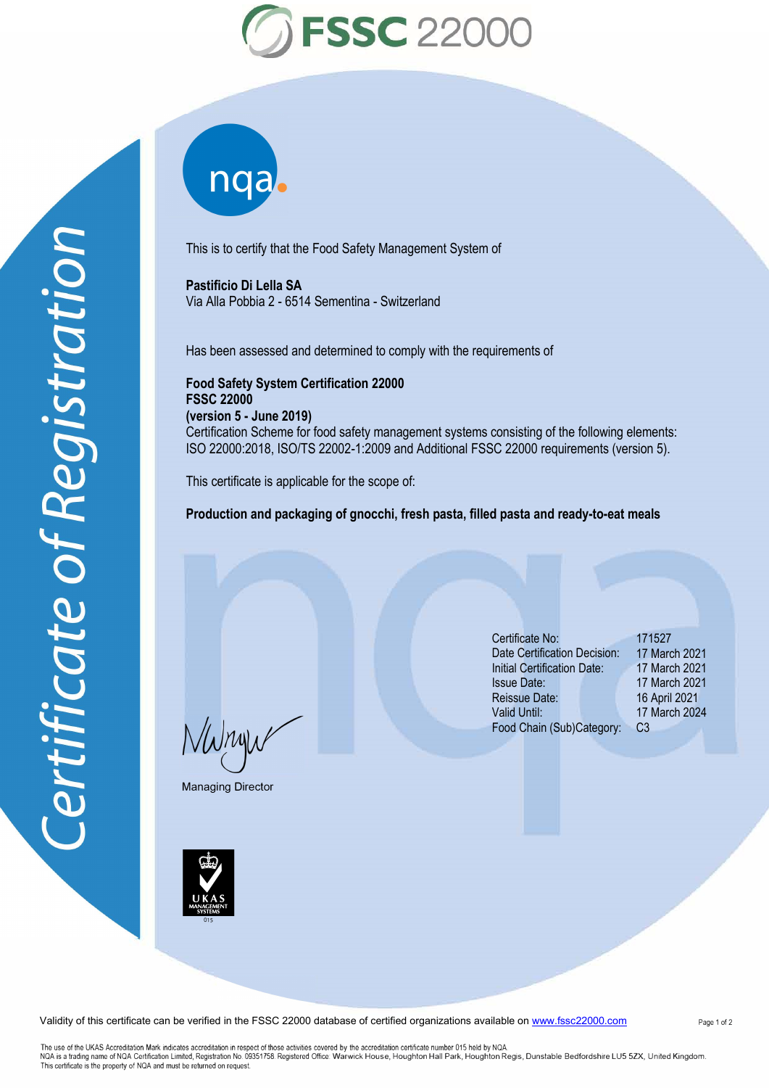

This is to certify that the Food Safety Management System of

**Pastificio Di Lella SA**  Via Alla Pobbia 2 - 6514 Sementina - Switzerland

nqab

Has been assessed and determined to comply with the requirements of

**Food Safety System Certification 22000 FSSC 22000 (version 5 - June 2019)**  Certification Scheme for food safety management systems consisting of the following elements: ISO 22000:2018, ISO/TS 22002-1:2009 and Additional FSSC 22000 requirements (version 5).

This certificate is applicable for the scope of:

**Production and packaging of gnocchi, fresh pasta, filled pasta and ready-to-eat meals**

 $\frac{1}{\Lambda}$ 

Managing Director

**I DE LA SERVICE DE LA SERVICE DE LA SERVICE DE LA SERVICE DE LA SERVICE DE LA SERVICE DE LA SERVICE DE LA SERVICE DE LA SERVICE DE LA SERVICE DE LA SERVICE DE LA SERVICE DE LA SERVICE DE LA SERVICE DE LA SERVICE DE LA SER** 

Certificate No: 171527 Date Certification Decision: 17 March 2021 17 March 2021 16 April 2021 Initial Certification Date: Issue Date: Reissue Date: Valid Until: 17 March 2024 Food Chain (Sub)Category: C3 17 March 2021

Validity of this certificate can be verified in the FSSC 22000 database of certified organizations available on www.fssc22000.com

Page 1 of 2

The use of the UKAS Accreditation Mark indicates accreditation in respect of those activities covered by the accreditation certificate number 015 held by NQA.<br>NQA is a trading name of NQA (Certification Limited, Registrati